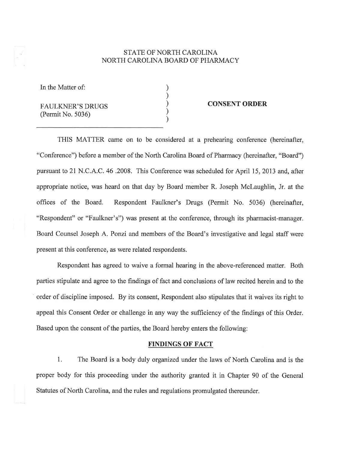# STATE OF NORTH CAROLINA NORTH CAROLINA BOARD OF PHARMACY

) ) ) ) )

In the Matter of:

FAULKNER'S DRUGS (Permit No. 5036)

### CONSENT ORDER

THIS MATTER came on to be considered at a prehearing conference (hereinafter, "Conference") before a member of the North Carolina Board of Pharmacy (hereinafter, "Board") pursuant to 21 N.C.A.C. 46 .2008. This Conference was scheduled for April 15, 2073 and, after appropriate notice, was heard on that day by Board member R. Joseph Mclaughlin, Jr. at the offrces of the Board. Respondent Faulkner's Drugs (Permit No. 5036) (hereinafter, "Respondent" or "Faulkner's") was present at the conference, through its pharmacist-manager. Board Counsel Joseph A. Ponzi and members of the Board's investigative and legal staff were present at this conference, as were related respondents.

Respondent has agreed to waive a formal hearing in the above-referenced matter. Both parties stipulate and agree to the findings of fact and conclusions of law recited herein and to the order of discipline imposed. By its consent, Respondent also stipulates that it waives its right to appeal this Consent Order or challenge in any way the sufficiency of the findings of this Order. Based upon the consent of the parties, the Board hereby enters the following:

## FINDINGS OF FACT

l. The Board is a body duly organized under the laws of North Carolina and is the proper body for this proceeding under the authority granted it in Chapter 90 of the General Statutes of North Carolina, and the rules and regulations promulgated thereunder.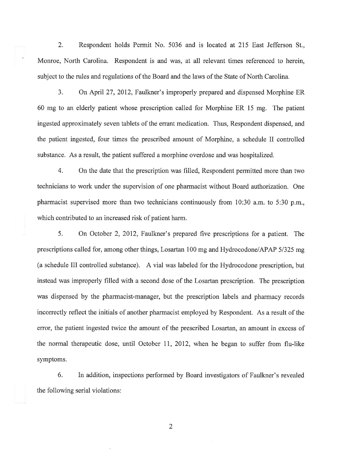2. Respondent holds Permit No. 5036 and is located at 215 East Jefferson St., Monroe, North Carolina. Respondent is and was, at all relevant times referenced to herein, subject to the rules and regulations of the Board and the laws of the State of North Carolina,

3. On April 27, 2012, Faulkner's improperly prepared and dispensed Morphine ER 60 mg to an elderly patient whose prescription called for Morphine ER 15 mg. The patient ingested approximately seven tablets of the errant medication. Thus, Respondent dispensed, and the patient ingested, four times the prescribed amount of Morphine, a schedule II controlled substance. As a result, the patient suffered a morphine overdose and was hospitalized.

4. On the date that the prescription was filled, Respondent permitted more than two technicians to work under the supervision of one pharmacist without Board authorization. One pharmacist supervised more than two technicians continuously from 10:30 a.m. to 5:30 p.m., which contributed to an increased risk of patient harm.

5. On October 2, 2012, Faulkner's prepared five prescriptions for a patient. The prescriptions called for, among other things, Losartan 100 mg and Hydrocodone/APAP 51325 mg (a schedule III controlled substance). A vial was labeled for the Hydrocodone prescription, but instead was improperly filled with a second dose of the Losartan prescription. The prescription was dispensed by the pharmacist-manager, but the prescription labels and pharmacy records incorrectly reflect the initials of another pharmacist employed by Respondent. As a result of the error, the patient ingested twice the amount of the prescribed Losartan, an amount in excess of the normal therapeutic dose, until October II, 2012, when he began to suffer from flu-like symptoms.

6. In addition, inspections performed by Board investigators of Faulkner's revealed the following serial violations:

2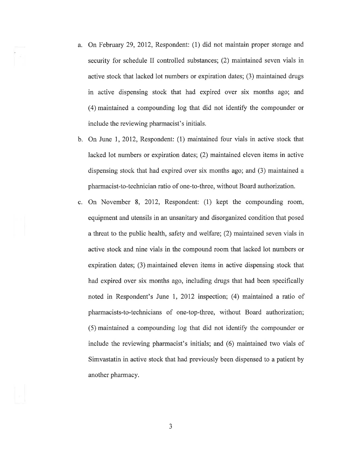- a. On February 29,2012, Respondent: (1) did not maintain proper storage and security for schedule II controlled substances; (2) maintained seven vials in active stock that lacked lot numbers or expiration dates; (3) maintained drugs in active dispensing stock that had expired over six months ago; and (4) maintained a compounding log that did not identiff the compounder or include the reviewing pharmacist's initials.
- b. On June 1,2012, Respondent: (1) maintained four vials in active stock that lacked lot numbers or expiration dates; (2) maintained eleven items in active dispensing stock that had expired over six months ago; and (3) maintained a pharmacist-to-technician ratio of one-to-three, without Board authorization.
- c. On November 8, 2012, Respondent: (l) kept the compounding room, equipment and utensils in an unsanitary and disorganized condition that posed a threat to the public health, safety and welfare; (2) maintained seven vials in active stock and nine vials in the compound room that lacked lot numbers or expiration dates; (3) maintained eleven items in active dispensing stock that had expired over six months ago, including drugs that had been specifically noted in Respondent's June 1, 2012 inspection; (4) maintained a ratio of pharmacists-to-technicians of one-top-three, without Board authorization;  $(5)$  maintained a compounding log that did not identify the compounder or include the reviewing pharmacist's initials; and (6) maintained two vials of Simvastatin in active stock that had previously been dispensed to a patient by another pharmacy.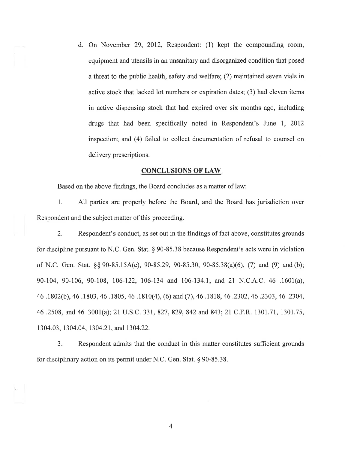d. On November 29, 2012, Respondent: (1) kept the compounding room, equipment and utensils in an unsanitary and disorganized condition that posed a threat to the public health, safety and welfare; (2) maintained seven vials in active stock that lacked lot numbers or expiration dates; (3) had eleven items in active dispensing stock that had expired over six months ago, including drugs that had been specifically noted in Respondent's June I, <sup>2012</sup> inspection; and (4) failed to collect documentation of refusal to counsel on delivery prescriptions.

#### CONCLUSIONS OF LAW

Based on the above findings, the Board concludes as a matter of law:

1. All parties are properly before the Board, and the Board has jurisdiction over Respondent and the subject matter of this proceeding.

2. Respondent's conduct, as set out in the findings of fact above, constitutes grounds for discipline pursuant to N.C. Gen. Stat. \$ 90-85.38 because Respondent's acts were in violation of N.C. Gen. Stat. \$\$ 90-85.154(c), 90-85.29,90-85.30, 90-85.38(a)(6), (7) and (9) and(b); 90-104, 90-106, 90-108, 106-122, 106-134 and 106-134.1; and 21 N.C.A.C. 46 .1601(a), 46.\802(b),46.1803,46.1805,46.1810(4), (6) and (7),46.1818, 46.2302,46 .2303,46.2304, 46.2508,and46.3001(a);21 U.S.C.331,827,829,842 and 843;21 C.F.R. 1301.71, 130L75, 1304.03, 1304.04, 1304.27, and 1304.22.

3. Respondent admits that the conduct in this matter constitutes suffrcient grounds for disciplinary action on its permit under N.C. Gen. Stat. \$ 90-85.38.

4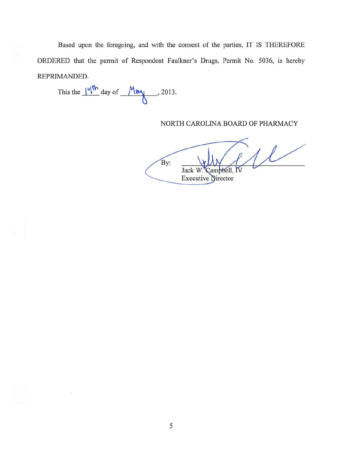Based upon the foregoing, and with the consent of the parties, IT IS THEREFORE ORDERED that the permit of Respondent Faulkner's Drugs, Permit No. 5036, is hereby REPRIMANDED.

This the  $\frac{|q|^{th}}{s}$  day of  $\frac{M_{\text{day}}}{s}$ , 2013.

NORTH CAROLINA BOARD OF PHARMACY

 $1/$ By: Jack W ambbell. **Executive Director**